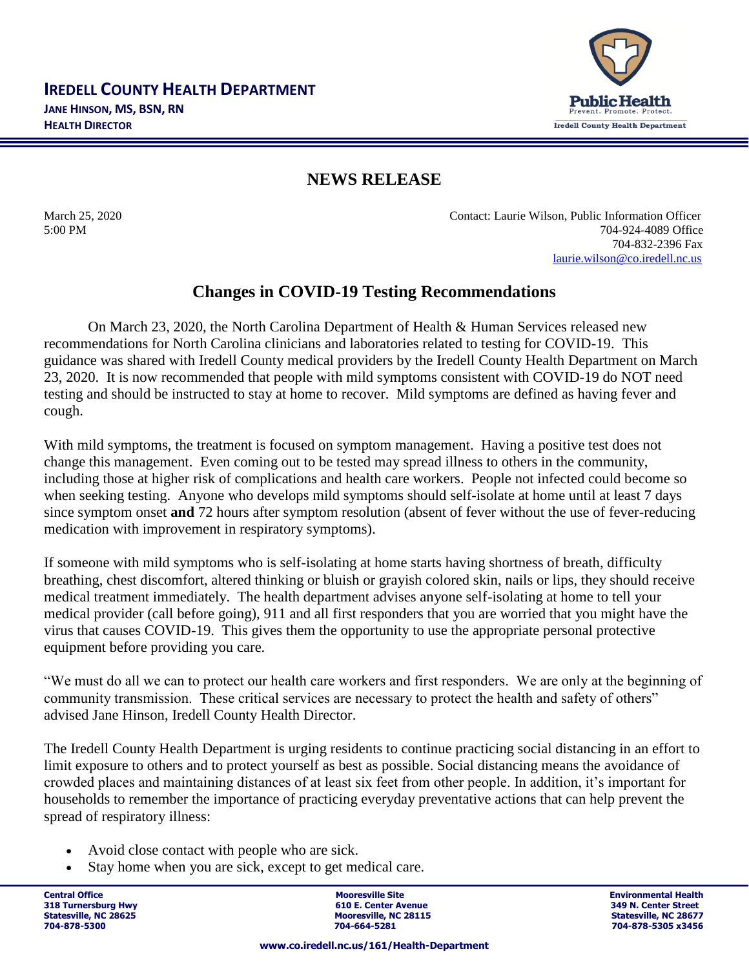

## **NEWS RELEASE**

March 25, 2020 Contact: Laurie Wilson, Public Information Officer 5:00 PM 704-924-4089 Office 704-832-2396 Fax [laurie.wilson@co.iredell.nc.us](mailto:laurie.wilson@co.iredell.nc.us)

## **Changes in COVID-19 Testing Recommendations**

On March 23, 2020, the North Carolina Department of Health & Human Services released new recommendations for North Carolina clinicians and laboratories related to testing for COVID-19. This guidance was shared with Iredell County medical providers by the Iredell County Health Department on March 23, 2020. It is now recommended that people with mild symptoms consistent with COVID-19 do NOT need testing and should be instructed to stay at home to recover. Mild symptoms are defined as having fever and cough.

With mild symptoms, the treatment is focused on symptom management. Having a positive test does not change this management. Even coming out to be tested may spread illness to others in the community, including those at higher risk of complications and health care workers. People not infected could become so when seeking testing. Anyone who develops mild symptoms should self-isolate at home until at least 7 days since symptom onset **and** 72 hours after symptom resolution (absent of fever without the use of fever-reducing medication with improvement in respiratory symptoms).

If someone with mild symptoms who is self-isolating at home starts having shortness of breath, difficulty breathing, chest discomfort, altered thinking or bluish or grayish colored skin, nails or lips, they should receive medical treatment immediately. The health department advises anyone self-isolating at home to tell your medical provider (call before going), 911 and all first responders that you are worried that you might have the virus that causes COVID-19. This gives them the opportunity to use the appropriate personal protective equipment before providing you care.

"We must do all we can to protect our health care workers and first responders. We are only at the beginning of community transmission. These critical services are necessary to protect the health and safety of others" advised Jane Hinson, Iredell County Health Director.

The Iredell County Health Department is urging residents to continue practicing social distancing in an effort to limit exposure to others and to protect yourself as best as possible. Social distancing means the avoidance of crowded places and maintaining distances of at least six feet from other people. In addition, it's important for households to remember the importance of practicing everyday preventative actions that can help prevent the spread of respiratory illness:

- Avoid close contact with people who are sick.
- Stay home when you are sick, except to get medical care.

Central Office و Central Office Site Site Site Site and Discussion of The Site of The Site Site Site Site Site<br>التاريخ المساحة التاريخ التاريخ التاريخ التاريخ التاريخ التاريخ التاريخ التاريخ التاريخ التاريخ التاريخ التاري **318 Turnersburg Hwy 610 E. Center Avenue 349 N. Center Street Statesville, NC 28115**<br> **Statesville, NC 28677**<br> **Statesville, NC 28677**<br> **STATES 28156**<br> **STATES 28456 704-878-5300 704-664-5281 704-878-5305 x3456**